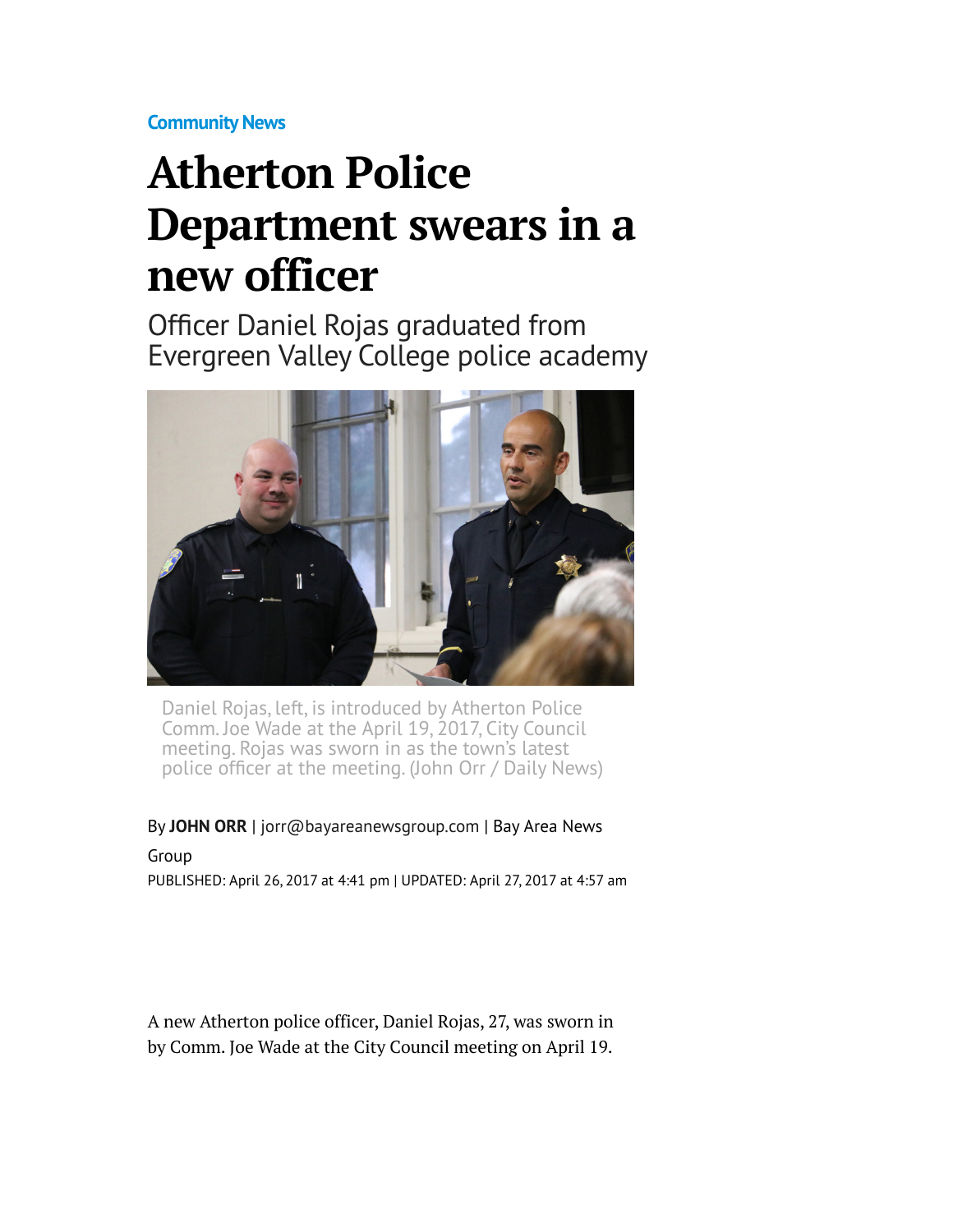**[Community News](http://www.mercurynews.com/community-news/)**

## **Atherton Police Department swears in a new officer**

Officer Daniel Rojas graduated from Evergreen Valley College police academy



Daniel Rojas, left, is introduced by Atherton Police Comm. Joe Wade at the April 19, 2017, City Council meeting. Rojas was sworn in as the town's latest police officer at the meeting. (John Orr / Daily News)

By **[JOHN ORR](http://www.mercurynews.com/author/john-orr/)** | [jorr@bayareanewsgroup.com](mailto:jorr@bayareanewsgroup.com) | Bay Area News

Group PUBLISHED: April 26, 2017 at 4:41 pm | UPDATED: April 27, 2017 at 4:57 am

A new Atherton police officer, Daniel Rojas, 27, was sworn in by Comm. Joe Wade at the City Council meeting on April 19.